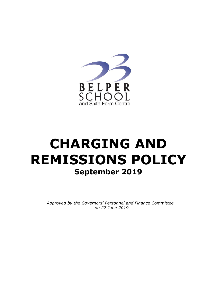

# **CHARGING AND REMISSIONS POLICY September 2019**

*Approved by the Governors' Personnel and Finance Committee on 27 June 2019*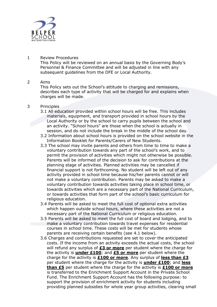

## 1 Review Procedures

This Policy will be reviewed on an annual basis by the Governing Body's Personnel & Finance Committee and will be adjusted in line with any subsequent guidelines from the DFE or Local Authority.

## 2 Aims

This Policy sets out the School's attitude to charging and remissions, describes each type of activity that will be charged for and explains when charges will be made.

# 3 Principles

- 3.1 All education provided within school hours will be free. This includes materials, equipment, and transport provided in school hours by the Local Authority or by the school to carry pupils between the school and an activity. "School hours" are those when the school is actually in session, and do not include the break in the middle of the school day.
- 3.2 Information about school hours is provided on the school website in the Information Booklet for Parents/Carers of New Students.
- 3.3 The school may invite parents and others from time to time to make a voluntary contribution towards any part of the school's work, and to permit the provision of activities which might not otherwise be possible. Parents will be informed of the decision to ask for contributions at the planning stage of activities. Planned activities may be cancelled if financial support is not forthcoming. No student will be left out of any activity provided in school time because his/her parents cannot or will not make a voluntary contribution. Parents may be asked to make a voluntary contribution towards activities taking place in school time, or towards activities which are a necessary part of the National Curriculum, or towards activities that form part of the school's basic curriculum for religious education.
- 3.4 Parents will be asked to meet the full cost of optional extra activities which happen outside school hours, where these activities are not a necessary part of the National Curriculum or religious education.
- 3.5 Parents will be asked to meet the full cost of board and lodging, and to make a voluntary contribution towards travel expenses for residential courses in school time. These costs will be met for students whose parents are receiving certain benefits (see 4.1 below).
- 3.6 Charges and contributions requested are set to cover the anticipated costs. If the income from an activity exceeds the actual costs, the school will refund any surplus of **£3 or more** per student where the charge for the activity is **under £100**; and **£5 or more** per student where the charge for the activity is **£100 or more**. Any surplus of **less than £3** per student where the charge for the activity is **under £100**; and **less than £5** per student where the charge for the activity is **£100 or more** is transferred to the Enrichment Support Account in the Private School Fund. The Enrichment Support Account has the following purpose: to support the provision of enrichment activity for students including providing planned subsidies for whole year group activities, clearing small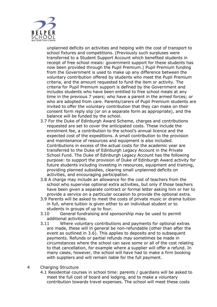

unplanned deficits on activities and helping with the cost of transport to school fixtures and competitions. (Previously such surpluses were transferred to a Student Support Account which benefited students in receipt of free school meals: government support for these students has now been provided through the Pupil Premium.) Pupil Premium funding from the Government is used to make up any difference between the voluntary contribution offered by students who meet the Pupil Premium criteria, and the amount requested to fund the item or activity. The criteria for Pupil Premium support is defined by the Government and includes students who have been entitled to free school meals at any time in the previous 7 years; who have a parent in the armed forces; or who are adopted from care. Parents/carers of Pupil Premium students are invited to offer the voluntary contribution that they can make on their consent form reply slip (or on a separate form as appropriate), and the balance will be funded by the school.

- 3.7 For the Duke of Edinburgh Award Scheme, charges and contributions requested are set to cover the anticipated costs. These include the enrolment fee, a contribution to the school's annual licence and the expected cost of the expeditions. A small contribution to the provision and maintenance of resources and equipment is also included. Contributions in excess of the actual costs for the academic year are transferred to the Duke of Edinburgh Legacy Account in the Private School Fund. The Duke of Edinburgh Legacy Account has the following purpose: to support the provision of Duke of Edinburgh Award activity for future students including investing in resources, equipment and training, providing planned subsidies, clearing small unplanned deficits on activities, and encouraging participation.
- 3.8 A charge may include an allowance for the cost of teachers from the school who supervise optional extra activities, but only if those teachers have been given a separate contract or formal letter asking him or her to provide a service on a particular occasion to provide the optional extra.
- 3.9 Parents will be asked to meet the costs of private music or drama tuition in full, where tuition is given either to an individual student or to students in groups of up to four.
- 3.10 General fundraising and sponsorship may be used to permit additional activities.
- 3.11 Where voluntary contributions and payments for optional extras are made, these will in general be non-refundable (other than after the event as outlined in 3.6). This applies to deposits and to subsequent payments. Refunds or partial refunds may sometimes be made in circumstances where the school can save some or all of the cost relating to that cancellation, for example where a supplier will offer a refund. In many cases, however, the school will have had to make a firm booking with suppliers and will remain liable for the full payment.
- 4 Charging Structure
	- 4.1 Residential courses in school time: parents / guardians will be asked to meet the full cost of board and lodging, and to make a voluntary contribution towards travel expenses. The school will meet these costs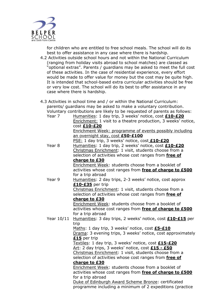

for children who are entitled to free school meals. The school will do its best to offer assistance in any case where there is hardship.

4.2 Activities outside school hours and not within the National Curriculum (ranging from holiday visits abroad to school matches) are classed as "optional extras". Parents / guardians may be asked to meet the full cost of these activities. In the case of residential experience, every effort would be made to offer value for money but the cost may be quite high. It is intended that school-based extra curricular activities should be free or very low cost. The school will do its best to offer assistance in any case where there is hardship.

|                   | 4.3 Activities in school time and / or within the National Curriculum:    |
|-------------------|---------------------------------------------------------------------------|
|                   | parents/ guardians may be asked to make a voluntary contribution.         |
|                   | Voluntary contributions are likely to be requested of parents as follows: |
| Year 7            | Humanities: 1 day trip, 3 weeks' notice, cost <b>£10-£20</b>              |
|                   | Enrichment: 1 visit to a theatre production, 3 weeks' notice,             |
|                   | cost £10-£20                                                              |
|                   | Enrichment Week: programme of events possibly including                   |
|                   | an overnight stay, cost £50-£100                                          |
|                   | PSE: 1 day trip, 3 weeks' notice, cost £10-£20                            |
| Year <sub>8</sub> | Humanities: 1 day trip, 2 weeks' notice, cost <b>£10-£20</b>              |
|                   | Christmas Enrichment: 1 visit, students choose from a                     |
|                   | selection of activities whose cost ranges from free of                    |
|                   | charge to £30                                                             |
|                   | Enrichment Week: students choose from a booklet of                        |
|                   | activities whose cost ranges from free of charge to £500                  |
|                   | for a trip abroad                                                         |
| Year 9            | Humanities: 2 day trips, 2-3 weeks' notice, cost approx                   |
|                   | £10-£35 per trip                                                          |
|                   | Christmas Enrichment: 1 visit, students choose from a                     |
|                   | selection of activities whose cost ranges from free of                    |
|                   | charge to £30                                                             |
|                   | Enrichment Week: students choose from a booklet of                        |
|                   | activities whose cost ranges from free of charge to £500                  |
|                   | for a trip abroad                                                         |
| Year 10/11        | Humanities: 3 day trips, 2 weeks' notice, cost <b>£10-£15</b> per         |
|                   | trip                                                                      |
|                   | Maths: 1 day trip, 3 weeks' notice, cost £5-£10                           |
|                   | Drama: 3 evening trips, 3 weeks' notice, cost approximately               |
|                   | £15 per trip                                                              |
|                   | Textiles: 1 day trip, 3 weeks' notice, cost £15-£20                       |
|                   | Art: 2 day trips, 3 weeks' notice, cost £15 - £50                         |
|                   | Christmas Enrichment: 1 visit, students choose from a                     |
|                   | selection of activities whose cost ranges from free of                    |
|                   | charge to £30                                                             |
|                   | Enrichment Week: students choose from a booklet of                        |
|                   | activities whose cost ranges from free of charge to £500                  |
|                   | for a trip abroad                                                         |
|                   | Duke of Edinburgh Award Scheme Bronze: certificated                       |
|                   | programme including a minimum of 2 expeditions (practice                  |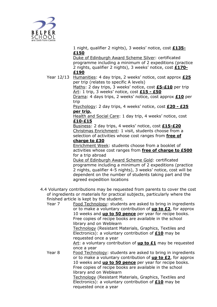

1 night, qualifier 2 nights), 3 weeks' notice, cost **£135- £150**

Duke of Edinburgh Award Scheme Silver: certificated programme including a minimum of 2 expeditions (practice 2 nights, qualifier 2 nights), 3 weeks' notice, cost **£170- £190**

Year 12/13 Humanities: 4 day trips, 2 weeks' notice, cost approx **£25** per trip (relates to specific A levels)

Maths: 2 day trips, 3 weeks' notice, cost **£5-£10** per trip Art: 1 trip, 3 weeks' notice, cost **£15 - £50**

Drama: 4 days trips, 2 weeks' notice, cost approx **£10** per trip

Psychology: 2 day trips, 4 weeks' notice, cost **£20 - £25 per trip.**

Health and Social Care: 1 day trip, 4 weeks' notice, cost **£10-£15**

Business: 2 day trips, 4 weeks' notice, cost **£15-£20** Christmas Enrichment: 1 visit, students choose from a selection of activities whose cost ranges from **free of** 

# **charge to £30**

Enrichment Week: students choose from a booklet of activities whose cost ranges from **free of charge to £500** for a trip abroad

Duke of Edinburgh Award Scheme Gold: certificated programme including a minimum of 2 expeditions (practice 2 nights, qualifier 4-5 nights), 3 weeks' notice, cost will be dependent on the number of students taking part and the agreed expedition locations

4.4 Voluntary contributions may be requested from parents to cover the cost of ingredients or materials for practical subjects, particularly where the finished article is kept by the student.

Year 7 Food Technology: students are asked to bring in ingredients or to make a voluntary contribution of **up to £2**, for approx 10 weeks and **up to 50 pence** per year for recipe books. Free copies of recipe books are available in the school library and on Weblearn

Technology (Resistant Materials, Graphics, Textiles and Electronics): a voluntary contribution of **£10** may be requested once a year

Art: a voluntary contribution of **up to £1** may be requested once a year

Year 8 Food Technology: students are asked to bring in ingredients or to make a voluntary contribution of **up to £2**, for approx 10 weeks and **up to 50 pence** per year for recipe books. Free copies of recipe books are available in the school library and on Weblearn

Technology (Resistant Materials, Graphics, Textiles and Electronics): a voluntary contribution of **£10** may be requested once a year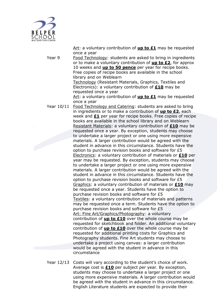

Art: a voluntary contribution of **up to £1** may be requested once a year

Year 9 Food Technology: students are asked to bring in ingredients or to make a voluntary contribution of **up to £2**, for approx 10 weeks and **up to 50 pence** per year for recipe books. Free copies of recipe books are available in the school library and on Weblearn

Technology (Resistant Materials, Graphics, Textiles and Electronics): a voluntary contribution of **£10** may be requested once a year

Art: a voluntary contribution of **up to £1** may be requested once a year

Year 10/11 Food Technology and Catering: students are asked to bring in ingredients or to make a contribution of **up to £2**, each week and **£1** per year for recipe books. Free copies of recipe books are available in the school library and on Weblearn Resistant Materials: a voluntary contribution of **£10** may be requested once a year. By exception, students may choose to undertake a larger project or one using more expensive materials. A larger contribution would be agreed with the student in advance in this circumstance. Students have the option to purchase revision books and software for £5 Electronics: a voluntary contribution of materials or **£10** per year may be requested. By exception, students may choose to undertake a larger project or one using more expensive materials. A larger contribution would be agreed with the student in advance in this circumstance. Students have the option to purchase revision books and software for £5 Graphics: a voluntary contribution of materials or **£10** may be requested once a year. Students have the option to purchase revision books and software for £5 Textiles: a voluntary contribution of materials and patterns may be requested once a term. Students have the option to purchase revision books and software for £5 Art: Fine Art/Graphics/Photography: a voluntary contribution of **up to £10** over the whole course may be requested for sketchbook and folder. An additional voluntary contribution of **up to £10** over the whole course may be requested for additional printing costs for Graphics and Photography students. Fine Art students may choose to undertake a project using canvas: a larger contribution would be agreed with the student in advance in this circumstance

Year 12/13 Costs will vary according to the student's choice of work. Average cost is **£10** per subject per year. By exception, students may choose to undertake a larger project or one using more expensive materials. A larger contribution would be agreed with the student in advance in this circumstance. English Literature students are expected to provide their